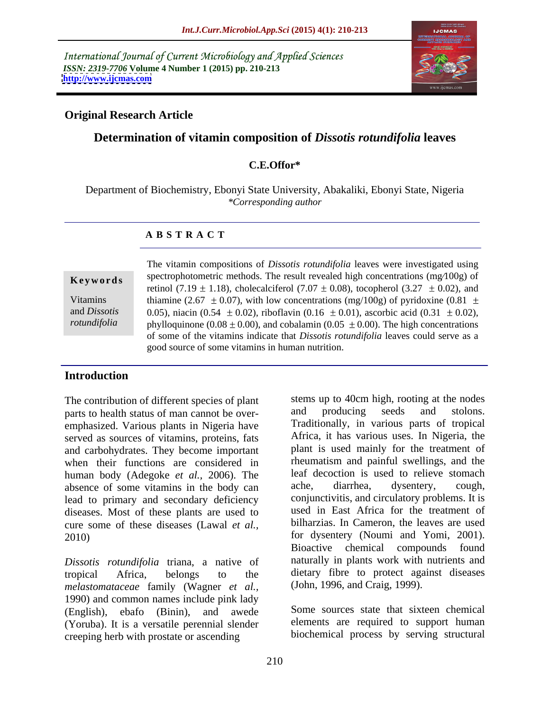International Journal of Current Microbiology and Applied Sciences *ISSN: 2319-7706* **Volume 4 Number 1 (2015) pp. 210-213 <http://www.ijcmas.com>**



## **Original Research Article**

# **Determination of vitamin composition of** *Dissotis rotundifolia* **leaves**

## **C.E.Offor\***

Department of Biochemistry, Ebonyi State University, Abakaliki, Ebonyi State, Nigeria *\*Corresponding author* 

### **A B S T R A C T**

*rotundifolia*

The vitamin compositions of *Dissotis rotundifolia* leaves were investigated using **Keywords** spectrophotometric methods. The result revealed high concentrations (mg/100g) of retinol (7.19  $\pm$  1.18), cholecalciferol (7.07  $\pm$  0.08), tocopherol (3.27  $\pm$  0.02), and Vitamins thiamine (2.67  $\pm$  0.07), with low concentrations (mg/100g) of pyridoxine (0.81  $\pm$ and *Dissotis* 0.05), niacin (0.54  $\pm$  0.02), riboflavin (0.16  $\pm$  0.01), ascorbic acid (0.31  $\pm$  0.02), phylloquinone (0.08  $\pm$  0.00), and cobalamin (0.05  $\pm$  0.00). The high concentrations of some of the vitamins indicate that *Dissotis rotundifolia* leaves could serve as a good source of some vitamins in human nutrition.

# **Introduction**

The contribution of different species of plant<br>narts to health status of man cannot be over-<br>and producing seeds and stolons. parts to health status of man cannot be over emphasized. Various plants in Nigeria have served as sources of vitamins, proteins, fats and carbohydrates. They become important when their functions are considered in human body (Adegoke *et al.*, 2006). The leaf decoction is used to relieve stomach absence of some vitamins in the body can ache, diarrhea, dysentery, cough, absence of some vitamins in the body can lead to primary and secondary deficiency diseases. Most of these plants are used to cure some of these diseases (Lawal *et al.,*

*Dissotis rotundifolia* triana, a native of *melastomataceae* family (Wagner *et al.,* 1990) and common names include pink lady (English), ebafo (Binin), and awede Some sources state that sixteen chemical (Yoruba). It is a versatile perennial slender creeping herb with prostate or ascending

2010) for dysentery (Noumi and Yomi, 2001). tropical Africa, belongs to the dietary fibre to protect against diseases stems up to 40cm high, rooting at the nodes and producing seeds and stolons. Traditionally, in various parts of tropical Africa, it has various uses. In Nigeria, the plant is used mainly for the treatment of rheumatism and painful swellings, and the leaf decoction is used to relieve stomach ache, diarrhea, dysentery, cough, conjunctivitis, and circulatory problems. It is used in East Africa for the treatment of bilharzias. In Cameron, the leaves are used Bioactive chemical compounds found naturally in plants work with nutrients and (John, 1996, and Craig, 1999).

> elements are required to support human biochemical process by serving structural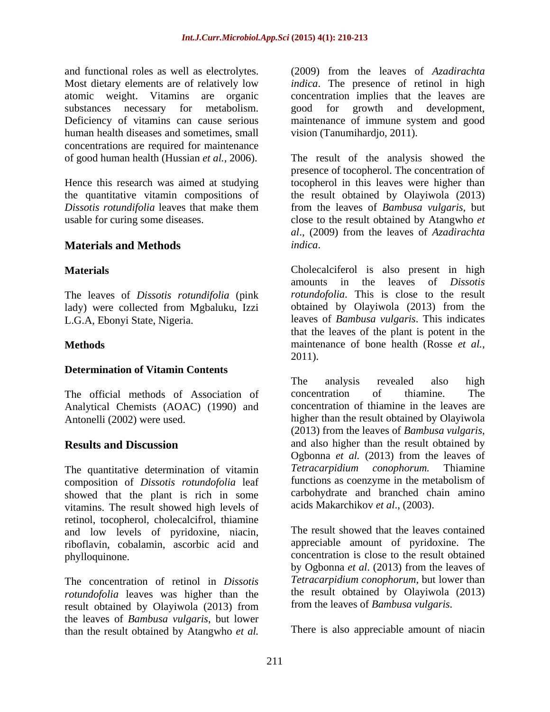and functional roles as well as electrolytes. human health diseases and sometimes, small concentrations are required for maintenance

# **Materials and Methods**

The leaves of *Dissotis rotundifolia* (pink lady) were collected from Mgbaluku, Izzi

### **Determination of Vitamin Contents**

Analytical Chemists (AOAC) (1990) and

composition of *Dissotis rotundofolia* leaf showed that the plant is rich in some vitamins. The result showed high levels of retinol, tocopherol, cholecalcifrol, thiamine and low levels of pyridoxine, niacin, riboflavin, cobalamin, ascorbic acid and

The concentration of retinol in *Dissotis rotundofolia* leaves was higher than the result obtained by Olayiwola (2013) from the leaves of *Bambusa vulgaris*, but lower than the result obtained by Atangwho *et al.*

Most dietary elements are of relatively low *indica*. The presence of retinol in high atomic weight. Vitamins are organic concentration implies that the leaves are substances necessary for metabolism. good for growth and development, Deficiency of vitamins can cause serious maintenance of immune system and good (2009) from the leaves of *Azadirachta*  vision (Tanumihardjo, 2011).

of good human health (Hussian *et al.,* 2006). The result of the analysis showed the Hence this research was aimed at studying tocopherol in this leaves were higher than the quantitative vitamin compositions of the result obtained by Olayiwola (2013) *Dissotis rotundifolia* leaves that make them from the leaves of *Bambusa vulgaris*, but usable for curing some diseases. close to the result obtained by Atangwho *et*  presence of tocopherol. The concentration of *al*., (2009) from the leaves of *Azadirachta indica*.

**Materials**  Cholecalciferol is also present in high L.G.A, Ebonyi State, Nigeria. leaves of *Bambusa vulgaris*. This indicates **Methods** maintenance of bone health (Rosse *et al.,* amounts in the leaves of *Dissotis rotundofolia*. This is close to the result obtained by Olayiwola (2013) from the that the leaves of the plant is potent in the 2011).

The official methods of Association of concentration of thiamine. The Antonelli (2002) were used. higher than the result obtained by Olayiwola **Results and Discussion** and also higher than the result obtained by The quantitative determination of vitamin<br>
Tetracarpidium conophorum. Thiamine<br>
composition of Dissotis rotundofolia leaf<br>
functions as coenzyme in the metabolism of The analysis revealed also high concentration of thiamine. The concentration of thiamine in the leaves are (2013) from the leaves of *Bambusa vulgaris*, and also higher than the result obtained by Ogbonna *et al.* (2013) from the leaves of *Tetracarpidium conophorum.* Thiamine functions as coenzyme in the metabolism of carbohydrate and branched chain amino acids Makarchikov *et al*., (2003).

phylloquinone. concentration is close to the result obtained The result showed that the leaves contained appreciable amount of pyridoxine. The by Ogbonna *et al*. (2013) from the leaves of *Tetracarpidium conophorum*, but lower than the result obtained by Olayiwola (2013) from the leaves of *Bambusa vulgaris*.

There is also appreciable amount of niacin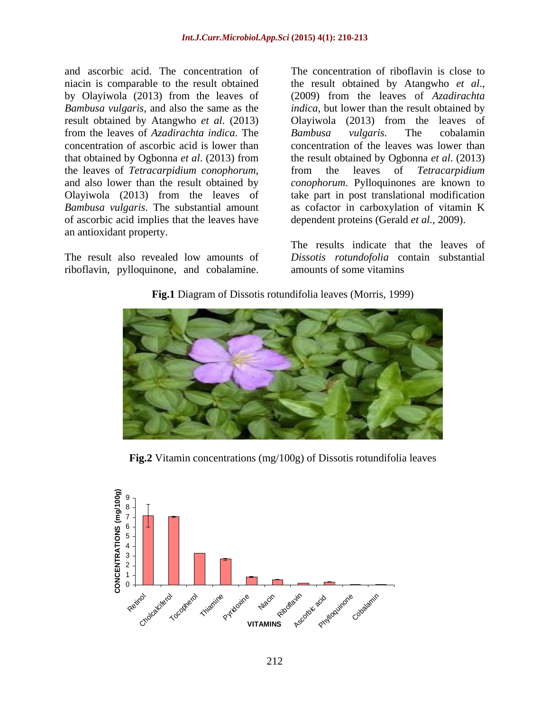niacin is comparable to the result obtained the result obtained by Atangwho et al., by Olayiwola (2013) from the leaves of (2009) from the leaves of Azadirachta *Bambusa vulgaris*, and also the same as the *indica*, but lower than the result obtained by result obtained by Atangwho *et al*. (2013) Olayiwola (2013) from the leaves of from the leaves of *Azadirachta indica*. The concentration of ascorbic acid is lower than concentration of the leaves was lower than that obtained by Ogbonna *et al*. (2013) from the result obtained by Ogbonna *et al*. (2013) the leaves of *Tetracarpidium conophorum,* and also lower than the result obtained by *conophorum*. Pylloquinones are known to Olayiwola (2013) from the leaves of take part in post translational modification *Bambusa vulgaris*. The substantial amount as cofactor in carboxylation of vitamin K of ascorbic acid implies that the leaves have an antioxidant property. and ascorbic acid. The concentration of The concentration of riboflavin is close to<br>
niacin is comparable to the result obtained by the result obtained by Atangwho *et al.*,<br>
by Olayiwola (2013) from the leaves of  $(2009)$ 

and ascorbic acid. The concentration of The concentration of riboflavin is close to the result obtained by Atangwho *et al*., (2009) from the leaves of *Azadirachta Bambusa vulgaris*. The cobalamin from the leaves of *Tetracarpidium*  dependent proteins (Gerald *et al.,* 2009).

The result also revealed low amounts of *Dissotis rotundofolia* contain substantial The results indicate that the leaves of amounts of some vitamins





**Fig.2** Vitamin concentrations (mg/100g) of Dissotis rotundifolia leaves